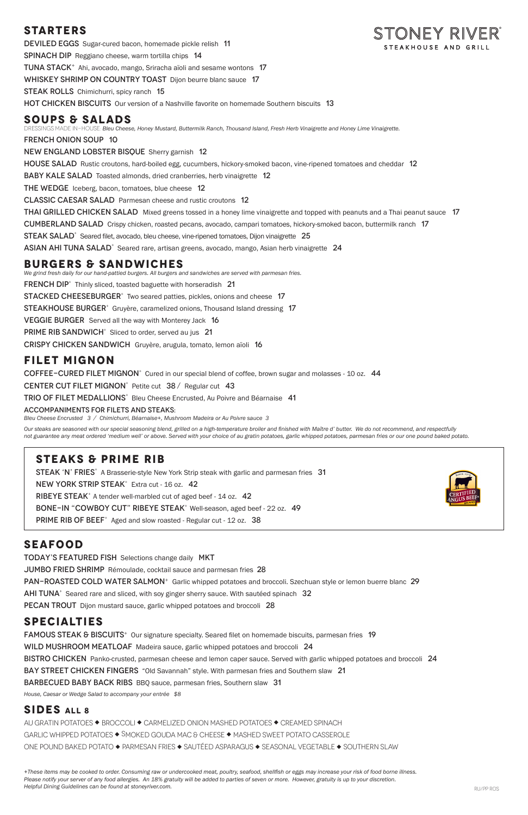## **Starters**

STONEY RIVER<sup>®</sup> DEVILED EGGS Sugar-cured bacon, homemade pickle relish 11 STEAKHOUSE AND GRILL SPINACH DIP Reggiano cheese, warm tortilla chips 14 TUNA STACK<sup>+</sup> Ahi, avocado, mango, Sriracha aïoli and sesame wontons 17 WHISKEY SHRIMP ON COUNTRY TOAST Dijon beurre blanc sauce 17 STEAK ROLLS Chimichurri, spicy ranch 15 **HOT CHICKEN BISCUITS** Our version of a Nashville favorite on homemade Southern biscuits 13

## **soups & Salads**

DRESSINGS MADE IN-HOUSE: *Bleu Cheese, Honey Mustard, Buttermilk Ranch, Thousand Island, Fresh Herb Vinaigrette and Honey Lime Vinaigrette.* 

french onion soup 10

NEW ENGLAND LOBSTER BISQUE Sherry garnish 12

HOUSE SALAD Rustic croutons, hard-boiled egg, cucumbers, hickory-smoked bacon, vine-ripened tomatoes and cheddar 12

BABY KALE SALAD Toasted almonds, dried cranberries, herb vinaigrette 12

THE WEDGE Iceberg, bacon, tomatoes, blue cheese 12

Classic Caesar SaladParmesan cheese and rustic croutons 12

THAI GRILLED CHICKEN SALAD Mixed greens tossed in a honey lime vinaigrette and topped with peanuts and a Thai peanut sauce 17

Cumberland SaladCrispy chicken, roasted pecans, avocado, campari tomatoes, hickory-smoked bacon, buttermilk ranch 17

STEAK SALAD<sup>+</sup> Seared filet, avocado, bleu cheese, vine-ripened tomatoes, Dijon vinaigrette 25

ASIAN AHI TUNA SALAD<sup>+</sup> Seared rare, artisan greens, avocado, mango, Asian herb vinaigrette 24

### **Burgers & Sandwiches**

*We grind fresh daily for our hand-pattied burgers. All burgers and sandwiches are served with parmesan fries.* FRENCH DIP<sup>+</sup> Thinly sliced, toasted baguette with horseradish 21 STACKED CHEESEBURGER<sup>+</sup> Two seared patties, pickles, onions and cheese 17 STEAKHOUSE BURGER<sup>+</sup> Gruyère, caramelized onions, Thousand Island dressing 17 **VEGGIE BURGER** Served all the way with Monterey Jack 16 PRIME RIB SANDWICH<sup>+</sup> Sliced to order, served au jus 21 crispy chicken sandwichGruyère, arugula, tomato, lemon aïoli 16

## **filet MIGNON**

COFFEE-CURED FILET MIGNON<sup>+</sup> Cured in our special blend of coffee, brown sugar and molasses - 10 oz. 44

CENTER CUT FILET MIGNON<sup>+</sup> Petite cut  $38/$  Regular cut 43

TRIO OF FILET MEDALLIONS<sup>+</sup> Bleu Cheese Encrusted, Au Poivre and Béarnaise 41

*+These items may be cooked to order. Consuming raw or undercooked meat, poultry, seafood, shellfish or eggs may increase your risk of food borne illness. Please notify your server of any food allergies. An 18% gratuity will be added to parties of seven or more. However, gratuity is up to your discretion. Helpful Dining Guidelines can be found at stoneyriver.com.* And the stone of the stone of the stone of the stone of the stone of the stone of the stone of the stone of the stone of the stone of the stone of the stone of

ACCOMPANIMENTS FOR FILETS AND STEAKS:

*Bleu Cheese Encrusted 3 / Chimichurri, Béarnaise+, Mushroom Madeira or Au Poivre sauce 3* 

*Our steaks are seasoned with our special seasoning blend, grilled on a high-temperature broiler and finished with Maître d' butter. We do not recommend, and respectfully not guarantee any meat ordered 'medium well' or above. Served with your choice of au gratin potatoes, garlic whipped potatoes, parmesan fries or our one pound baked potato.*

## **steakS & Prime Rib**

STEAK 'N' FRIES<sup>+</sup> A Brasserie-style New York Strip steak with garlic and parmesan fries 31 NEW YORK STRIP STEAK<sup>+</sup> Extra cut - 16 oz. 42 RIBEYE STEAK<sup>+</sup> A tender well-marbled cut of aged beef - 14 oz.  $42$ BONE-IN "COWBOY CUT" RIBEYE STEAK<sup>+</sup> Well-season, aged beef - 22 oz. 49 PRIME RIB OF BEEF<sup>+</sup> Aged and slow roasted - Regular cut - 12 oz. 38



## **SEAFOOD**

Today's Featured FishSelections change daily MKT

JUMBO FRIED SHRIMP Rémoulade, cocktail sauce and parmesan fries 28

**PAN-ROASTED COLD WATER SALMON**<sup>+</sup> Garlic whipped potatoes and broccoli. Szechuan style or lemon buerre blanc 29

 $AHI TUNA<sup>+</sup>$  Seared rare and sliced, with soy ginger sherry sauce. With sautéed spinach 32

PECAN TROUT Dijon mustard sauce, garlic whipped potatoes and broccoli 28

### **Specialties**

FAMOUS STEAK & BISCUITS<sup>+</sup> Our signature specialty. Seared filet on homemade biscuits, parmesan fries 19 WILD MUSHROOM MEATLOAF Madeira sauce, garlic whipped potatoes and broccoli 24 BISTRO CHICKEN Panko-crusted, parmesan cheese and lemon caper sauce. Served with garlic whipped potatoes and broccoli 24 BAY STREET CHICKEN FINGERS "Old Savannah" style. With parmesan fries and Southern slaw 21 **BARBECUED BABY BACK RIBS BBO sauce, parmesan fries, Southern slaw 31** 

*House, Caesar or Wedge Salad to accompany your entrée \$8* 

### **SIDES All 8**

AU GRATIN POTATOES  $\blacklozenge$  BROCCOLI  $\blacklozenge$  CARMELIZED ONION MASHED POTATOES  $\blacklozenge$  CREAMED SPINACH GARLIC WHIPPED POTATOES  $\blacklozenge$  SMOKED GOUDA MAC & CHEESE  $\blacklozenge$  MASHED SWEET POTATO CASSEROLE ONE POUND BAKED POTATO  $\bullet$  PARMESAN FRIES  $\bullet$  SAUTÉED ASPARAGUS  $\bullet$  SEASONAL VEGETABLE  $\bullet$  SOUTHERN SLAW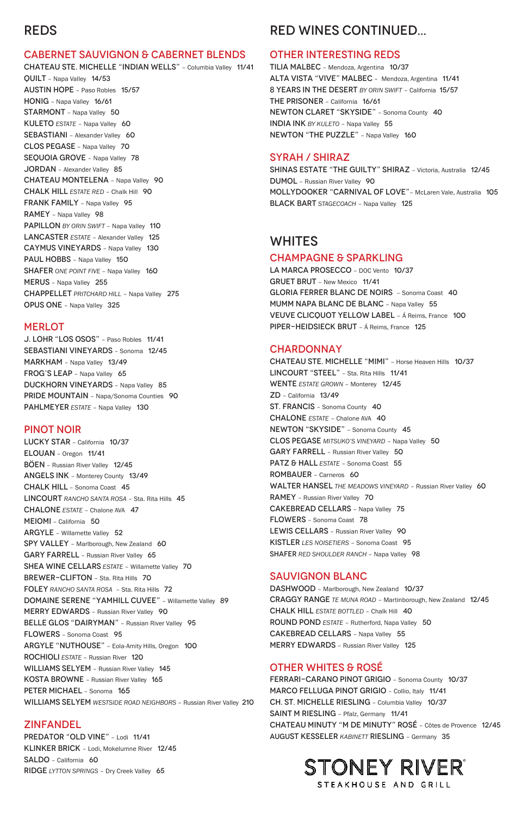## REDS

#### CABERNET SAUVIGNON & CABERNET BLENDS

CHATEAU STE. MICHELLE "INDIAN WELLS" – Columbia Valley 11/41 QUILT – Napa Valley 14/53 AUSTIN HOPE – Paso Robles 15/57 HONIG – Napa Valley 16/61 STARMONT - Napa Valley 50 KULETO **ESTATE** - Napa Valley 60 SEBASTIANI - Alexander Valley 60 CLOS PEGASE – Napa Valley 70 SEQUOIA GROVE - Napa Valley 78 JORDAN – Alexander Valley 85 CHATEAU MONTELENA – Napa Valley 90 CHALK HILL *ESTATE RED* – Chalk Hill 90 FRANK FAMILY - Napa Valley 95 RAMEY – Napa Valley 98 PAPILLON *BY ORIN SWIFT* – Napa Valley 110 LANCASTER *ESTATE* – Alexander Valley 125 CAYMUS VINEYARDS – Napa Valley 130 PAUL HOBBS - Napa Valley 150 SHAFER *ONE POINT FIVE* – Napa Valley 160 MERUS – Napa Valley 255 CHAPPELLET *PRITCHARD HILL* – Napa Valley 275 OPUS ONE – Napa Valley 325

#### **MERLOT**

LUCKY STAR – California 10/37 ELOUAN – Oregon 11/41 BÖEN – Russian River Valley 12/45 ANGELS INK – Monterey County 13/49 CHALK HILL – Sonoma Coast 45 LINCOURT *RANCHO SANTA ROSA* – Sta. Rita Hills 45 CHALONE *ESTATE* – Chalone AVA 47 MEIOMI – California 50 ARGYLE – Willamette Valley 52 SPY VALLEY - Marlborough, New Zealand 60 GARY FARRELL - Russian River Valley 65 SHEA WINE CELLARS *ESTATE* – Willamette Valley 70 BREWER-CLIFTON - Sta. Rita Hills 70 FOLEY *RANCHO SANTA ROSA* – Sta. Rita Hills 72 DOMAINE SERENE "YAMHILL CUVEE" – Willamette Valley 89 MERRY EDWARDS – Russian River Valley 90 BELLE GLOS "DAIRYMAN" - Russian River Valley 95 FLOWERS – Sonoma Coast 95 ARGYLE "NUTHOUSE" – Eola-Amity Hills, Oregon 100 ROCHIOLI *ESTATE* – Russian River 120 WILLIAMS SELYEM - Russian River Valley 145 KOSTA BROWNE – Russian River Valley 165 PETER MICHAEL - Sonoma 165 WILLIAMS SELYEM *WESTSIDE ROAD NEIGHBORS* - Russian River Valley 210

J. LOHR "LOS OSOS" – Paso Robles 11/41 SEBASTIANI VINEYARDS – Sonoma 12/45 MARKHAM – Napa Valley 13/49 FROG'S LEAP - Napa Valley 65 DUCKHORN VINEYARDS – Napa Valley 85 PRIDE MOUNTAIN – Napa/Sonoma Counties 90 PAHLMEYER *ESTATE* – Napa Valley 130

#### PINOT NOIR

PREDATOR "OLD VINE" - Lodi 11/41 KLINKER BRICK – Lodi, Mokelumne River 12/45 SALDO – California 60 RIDGE *LYTTON SPRINGS* – Dry Creek Valley 65

TILIA MALBEC – Mendoza, Argentina 10/37 ALTA VISTA "VIVE" MALBEC – Mendoza, Argentina 11/41 8 YEARS IN THE DESERT *BY ORIN SWIFT* – California 15/57 THE PRISONER – California 16/61 NEWTON CLARET "SKYSIDE" – Sonoma County 40 INDIA INK *BY KULETO* – Napa Valley 55 NEWTON "THE PUZZLE" - Napa Valley 160

LA MARCA PROSECCO - DOC Vento 10/37 GRUET BRUT – New Mexico 11/41 GLORIA FERRER BLANC DE NOIRS – Sonoma Coast 40 MUMM NAPA BLANC DE BLANC – Napa Valley 55 VEUVE CLICQUOT YELLOW LABEL – Á Reims, France 100 PIPER-HEIDSIECK BRUT – Á Reims, France 125

#### **CHARDONNAY**

CHATEAU STE. MICHELLE "MIMI" – Horse Heaven Hills 10/37 LINCOURT "STEEL" – Sta. Rita Hills 11/41 WENTE **ESTATE GROWN** - Monterey 12/45 ZD – California 13/49 ST. FRANCIS – Sonoma County 40 CHALONE *ESTATE* – Chalone AVA 40 NEWTON "SKYSIDE" – Sonoma County 45 CLOS PEGASE *MITSUKO'S VINEYARD* – Napa Valley 50 GARY FARRELL - Russian River Valley 50 PATZ & HALL *ESTATE* – Sonoma Coast 55 ROMBAUER – Carneros 60 WALTER HANSEL THE MEADOWS VINEYARD - Russian River Valley 60 RAMEY – Russian River Valley 70 CAKEBREAD CELLARS – Napa Valley 75 FLOWERS – Sonoma Coast 78 LEWIS CELLARS - Russian River Valley 90 KISTLER *LES NOISETIERS* – Sonoma Coast 95 SHAFER RED SHOULDER RANCH - Napa Valley 98

#### ZINFANDEL

# RED WINES CONTINUED...

#### OTHER INTERESTING REDS

### SYRAH / SHIRAZ

SHINAS ESTATE "THE GUILTY" SHIRAZ – Victoria, Australia 12/45 DUMOL – Russian River Valley 90 MOLLYDOOKER "CARNIVAL OF LOVE"– McLaren Vale, Australia 105 BLACK BART *STAGECOACH* – Napa Valley 125

## WHITES

#### CHAMPAGNE & SPARKLING

### SAUVIGNON BLANC

DASHWOOD – Marlborough, New Zealand 10/37 CRAGGY RANGE *TE MUNA ROAD* – Martinborough, New Zealand 12/45 CHALK HILL *ESTATE BOTTLED* – Chalk Hill 40 ROUND POND *ESTATE* – Rutherford, Napa Valley 50 CAKEBREAD CELLARS – Napa Valley 55 MERRY EDWARDS – Russian River Valley 125

### OTHER WHITES & ROSÉ

FERRARI-CARANO PINOT GRIGIO – Sonoma County 10/37 MARCO FELLUGA PINOT GRIGIO – Collio, Italy 11/41 CH. ST. MICHELLE RIESLING – Columbia Valley 10/37 SAINT M RIESLING – Pfalz, Germany 11/41 CHATEAU MINUTY "M DE MINUTY" ROSÉ – Côtes de Provence 12/45 auguST KESSELER *KABINETT* RIESLING – Germany 35

# STONEY RIVER® STEAKHOUSE AND GRILL